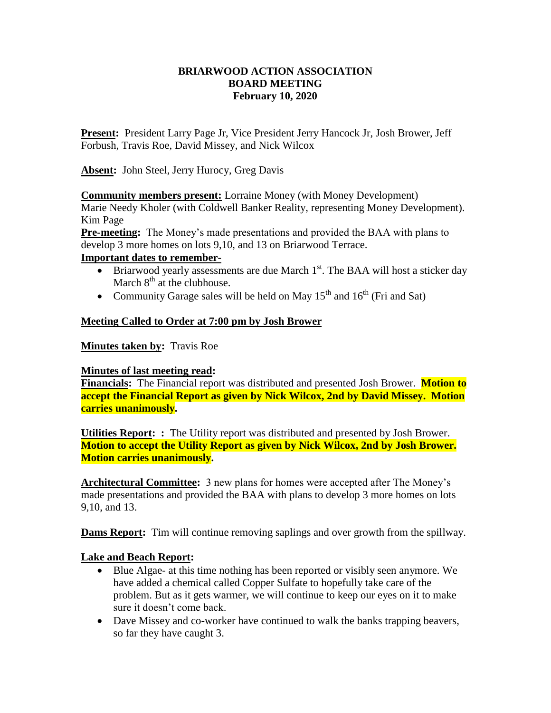## **BRIARWOOD ACTION ASSOCIATION BOARD MEETING February 10, 2020**

**Present:** President Larry Page Jr, Vice President Jerry Hancock Jr, Josh Brower, Jeff Forbush, Travis Roe, David Missey, and Nick Wilcox

**Absent:** John Steel, Jerry Hurocy, Greg Davis

**Community members present:** Lorraine Money (with Money Development)

Marie Needy Kholer (with Coldwell Banker Reality, representing Money Development). Kim Page

**Pre-meeting:** The Money's made presentations and provided the BAA with plans to develop 3 more homes on lots 9,10, and 13 on Briarwood Terrace.

### **Important dates to remember-**

- $\bullet$  Briarwood yearly assessments are due March 1<sup>st</sup>. The BAA will host a sticker day March  $8<sup>th</sup>$  at the clubhouse.
- Community Garage sales will be held on May  $15<sup>th</sup>$  and  $16<sup>th</sup>$  (Fri and Sat)

# **Meeting Called to Order at 7:00 pm by Josh Brower**

**Minutes taken by:** Travis Roe

#### **Minutes of last meeting read:**

**Financials:** The Financial report was distributed and presented Josh Brower. **Motion to accept the Financial Report as given by Nick Wilcox, 2nd by David Missey. Motion carries unanimously.** 

**Utilities Report: :** The Utility report was distributed and presented by Josh Brower. **Motion to accept the Utility Report as given by Nick Wilcox, 2nd by Josh Brower. Motion carries unanimously.** 

**Architectural Committee:** 3 new plans for homes were accepted after The Money's made presentations and provided the BAA with plans to develop 3 more homes on lots 9,10, and 13.

**Dams Report:** Tim will continue removing saplings and over growth from the spillway.

# **Lake and Beach Report:**

- Blue Algae- at this time nothing has been reported or visibly seen anymore. We have added a chemical called Copper Sulfate to hopefully take care of the problem. But as it gets warmer, we will continue to keep our eyes on it to make sure it doesn't come back.
- Dave Missey and co-worker have continued to walk the banks trapping beavers, so far they have caught 3.